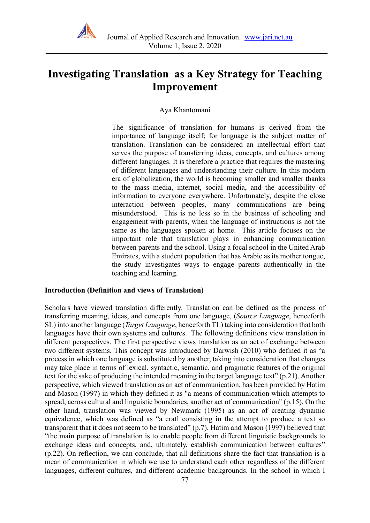

# **Investigating Translation as a Key Strategy for Teaching Improvement**

#### Aya Khantomani

The significance of translation for humans is derived from the importance of language itself; for language is the subject matter of translation. Translation can be considered an intellectual effort that serves the purpose of transferring ideas, concepts, and cultures among different languages. It is therefore a practice that requires the mastering of different languages and understanding their culture. In this modern era of globalization, the world is becoming smaller and smaller thanks to the mass media, internet, social media, and the accessibility of information to everyone everywhere. Unfortunately, despite the close interaction between peoples, many communications are being misunderstood. This is no less so in the business of schooling and engagement with parents, when the language of instructions is not the same as the languages spoken at home. This article focuses on the important role that translation plays in enhancing communication between parents and the school. Using a focal school in the United Arab Emirates, with a student population that has Arabic as its mother tongue, the study investigates ways to engage parents authentically in the teaching and learning.

#### **Introduction (Definition and views of Translation)**

Scholars have viewed translation differently. Translation can be defined as the process of transferring meaning, ideas, and concepts from one language, (*Source Language*, henceforth SL) into another language (*Target Language*, henceforth TL) taking into consideration that both languages have their own systems and cultures. The following definitions view translation in different perspectives. The first perspective views translation as an act of exchange between two different systems. This concept was introduced by Darwish (2010) who defined it as "a process in which one language is substituted by another, taking into consideration that changes may take place in terms of lexical, syntactic, semantic, and pragmatic features of the original text for the sake of producing the intended meaning in the target language text" (p.21). Another perspective, which viewed translation as an act of communication, has been provided by Hatim and Mason (1997) in which they defined it as "a means of communication which attempts to spread, across cultural and linguistic boundaries, another act of communication" (p.15). On the other hand, translation was viewed by Newmark (1995) as an act of creating dynamic equivalence, which was defined as "a craft consisting in the attempt to produce a text so transparent that it does not seem to be translated" (p.7). Hatim and Mason (1997) believed that "the main purpose of translation is to enable people from different linguistic backgrounds to exchange ideas and concepts, and, ultimately, establish communication between cultures" (p.22). On reflection, we can conclude, that all definitions share the fact that translation is a mean of communication in which we use to understand each other regardless of the different languages, different cultures, and different academic backgrounds. In the school in which I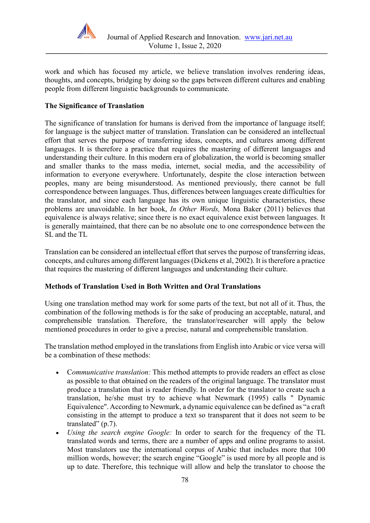

work and which has focused my article, we believe translation involves rendering ideas, thoughts, and concepts, bridging by doing so the gaps between different cultures and enabling people from different linguistic backgrounds to communicate.

## **The Significance of Translation**

The significance of translation for humans is derived from the importance of language itself; for language is the subject matter of translation. Translation can be considered an intellectual effort that serves the purpose of transferring ideas, concepts, and cultures among different languages. It is therefore a practice that requires the mastering of different languages and understanding their culture. In this modern era of globalization, the world is becoming smaller and smaller thanks to the mass media, internet, social media, and the accessibility of information to everyone everywhere. Unfortunately, despite the close interaction between peoples, many are being misunderstood. As mentioned previously, there cannot be full correspondence between languages. Thus, differences between languages create difficulties for the translator, and since each language has its own unique linguistic characteristics, these problems are unavoidable. In her book, *In Other Words,* Mona Baker (2011) believes that equivalence is always relative; since there is no exact equivalence exist between languages. It is generally maintained, that there can be no absolute one to one correspondence between the SL and the TL

Translation can be considered an intellectual effort that serves the purpose of transferring ideas, concepts, and cultures among different languages (Dickens et al, 2002). It is therefore a practice that requires the mastering of different languages and understanding their culture.

## **Methods of Translation Used in Both Written and Oral Translations**

Using one translation method may work for some parts of the text, but not all of it. Thus, the combination of the following methods is for the sake of producing an acceptable, natural, and comprehensible translation. Therefore, the translator/researcher will apply the below mentioned procedures in order to give a precise, natural and comprehensible translation.

The translation method employed in the translations from English into Arabic or vice versa will be a combination of these methods:

- C*ommunicative translation:* This method attempts to provide readers an effect as close as possible to that obtained on the readers of the original language. The translator must produce a translation that is reader friendly. In order for the translator to create such a translation, he/she must try to achieve what Newmark (1995) calls " Dynamic Equivalence". According to Newmark, a dynamic equivalence can be defined as "a craft consisting in the attempt to produce a text so transparent that it does not seem to be translated" (p.7).
- *Using the search engine Google:* In order to search for the frequency of the TL translated words and terms, there are a number of apps and online programs to assist. Most translators use the international corpus of Arabic that includes more that 100 million words, however; the search engine "Google" is used more by all people and is up to date. Therefore, this technique will allow and help the translator to choose the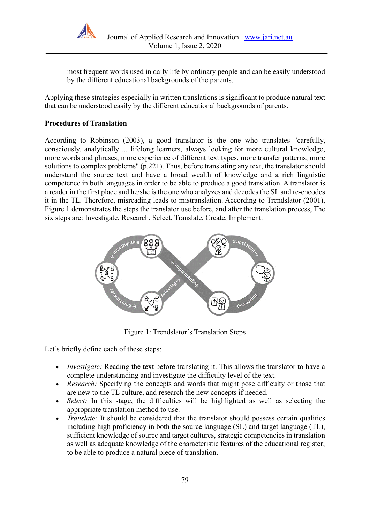

most frequent words used in daily life by ordinary people and can be easily understood by the different educational backgrounds of the parents.

Applying these strategies especially in written translations is significant to produce natural text that can be understood easily by the different educational backgrounds of parents.

## **Procedures of Translation**

According to Robinson (2003), a good translator is the one who translates "carefully, consciously, analytically ... lifelong learners, always looking for more cultural knowledge, more words and phrases, more experience of different text types, more transfer patterns, more solutions to complex problems" (p.221). Thus, before translating any text, the translator should understand the source text and have a broad wealth of knowledge and a rich linguistic competence in both languages in order to be able to produce a good translation. A translator is a reader in the first place and he/she is the one who analyzes and decodes the SL and re-encodes it in the TL. Therefore, misreading leads to mistranslation. According to Trendslator (2001), Figure 1 demonstrates the steps the translator use before, and after the translation process, The six steps are: Investigate, Research, Select, Translate, Create, Implement.



Figure 1: Trendslator's Translation Steps

Let's briefly define each of these steps:

- *Investigate:* Reading the text before translating it. This allows the translator to have a complete understanding and investigate the difficulty level of the text.
- *Research:* Specifying the concepts and words that might pose difficulty or those that are new to the TL culture, and research the new concepts if needed.
- *Select:* In this stage, the difficulties will be highlighted as well as selecting the appropriate translation method to use.
- *Translate:* It should be considered that the translator should possess certain qualities including high proficiency in both the source language (SL) and target language (TL), sufficient knowledge of source and target cultures, strategic competencies in translation as well as adequate knowledge of the characteristic features of the educational register; to be able to produce a natural piece of translation.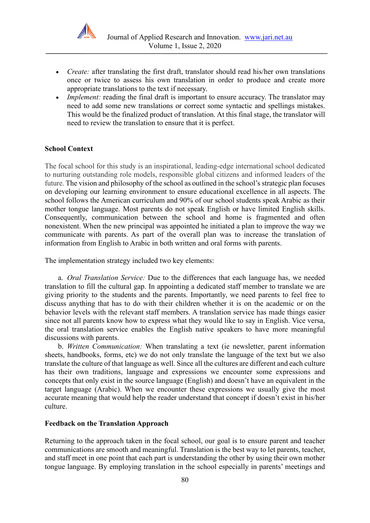

- *Create:* after translating the first draft, translator should read his/her own translations once or twice to assess his own translation in order to produce and create more appropriate translations to the text if necessary.
- *Implement:* reading the final draft is important to ensure accuracy. The translator may need to add some new translations or correct some syntactic and spellings mistakes. This would be the finalized product of translation. At this final stage, the translator will need to review the translation to ensure that it is perfect.

#### **School Context**

The focal school for this study is an inspirational, leading-edge international school dedicated to nurturing outstanding role models, responsible global citizens and informed leaders of the future. The vision and philosophy of the school as outlined in the school's strategic plan focuses on developing our learning environment to ensure educational excellence in all aspects. The school follows the American curriculum and 90% of our school students speak Arabic as their mother tongue language. Most parents do not speak English or have limited English skills. Consequently, communication between the school and home is fragmented and often nonexistent. When the new principal was appointed he initiated a plan to improve the way we communicate with parents. As part of the overall plan was to increase the translation of information from English to Arabic in both written and oral forms with parents.

The implementation strategy included two key elements:

a. *Oral Translation Service:* Due to the differences that each language has, we needed translation to fill the cultural gap. In appointing a dedicated staff member to translate we are giving priority to the students and the parents. Importantly, we need parents to feel free to discuss anything that has to do with their children whether it is on the academic or on the behavior levels with the relevant staff members. A translation service has made things easier since not all parents know how to express what they would like to say in English. Vice versa, the oral translation service enables the English native speakers to have more meaningful discussions with parents.

b. *Written Communication:* When translating a text (ie newsletter, parent information sheets, handbooks, forms, etc) we do not only translate the language of the text but we also translate the culture of that language as well. Since all the cultures are different and each culture has their own traditions, language and expressions we encounter some expressions and concepts that only exist in the source language (English) and doesn't have an equivalent in the target language (Arabic). When we encounter these expressions we usually give the most accurate meaning that would help the reader understand that concept if doesn't exist in his/her culture.

#### **Feedback on the Translation Approach**

Returning to the approach taken in the focal school, our goal is to ensure parent and teacher communications are smooth and meaningful. Translation is the best way to let parents, teacher, and staff meet in one point that each part is understanding the other by using their own mother tongue language. By employing translation in the school especially in parents' meetings and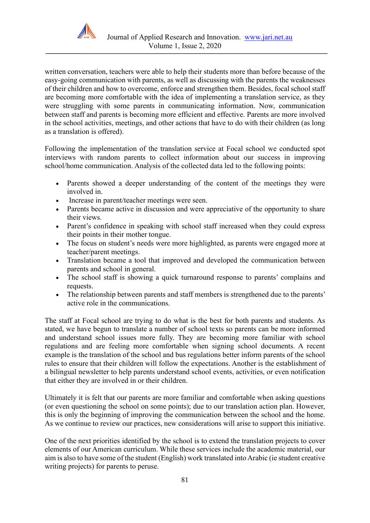

written conversation, teachers were able to help their students more than before because of the easy-going communication with parents, as well as discussing with the parents the weaknesses of their children and how to overcome, enforce and strengthen them. Besides, focal school staff are becoming more comfortable with the idea of implementing a translation service, as they were struggling with some parents in communicating information. Now, communication between staff and parents is becoming more efficient and effective. Parents are more involved in the school activities, meetings, and other actions that have to do with their children (as long as a translation is offered).

Following the implementation of the translation service at Focal school we conducted spot interviews with random parents to collect information about our success in improving school/home communication. Analysis of the collected data led to the following points:

- Parents showed a deeper understanding of the content of the meetings they were involved in.
- Increase in parent/teacher meetings were seen.
- Parents became active in discussion and were appreciative of the opportunity to share their views.
- Parent's confidence in speaking with school staff increased when they could express their points in their mother tongue.
- The focus on student's needs were more highlighted, as parents were engaged more at teacher/parent meetings.
- Translation became a tool that improved and developed the communication between parents and school in general.
- The school staff is showing a quick turnaround response to parents' complains and requests.
- The relationship between parents and staff members is strengthened due to the parents' active role in the communications.

The staff at Focal school are trying to do what is the best for both parents and students. As stated, we have begun to translate a number of school texts so parents can be more informed and understand school issues more fully. They are becoming more familiar with school regulations and are feeling more comfortable when signing school documents. A recent example is the translation of the school and bus regulations better inform parents of the school rules to ensure that their children will follow the expectations. Another is the establishment of a bilingual newsletter to help parents understand school events, activities, or even notification that either they are involved in or their children.

Ultimately it is felt that our parents are more familiar and comfortable when asking questions (or even questioning the school on some points); due to our translation action plan. However, this is only the beginning of improving the communication between the school and the home. As we continue to review our practices, new considerations will arise to support this initiative.

One of the next priorities identified by the school is to extend the translation projects to cover elements of our American curriculum. While these services include the academic material, our aim is also to have some of the student (English) work translated into Arabic (ie student creative writing projects) for parents to peruse.